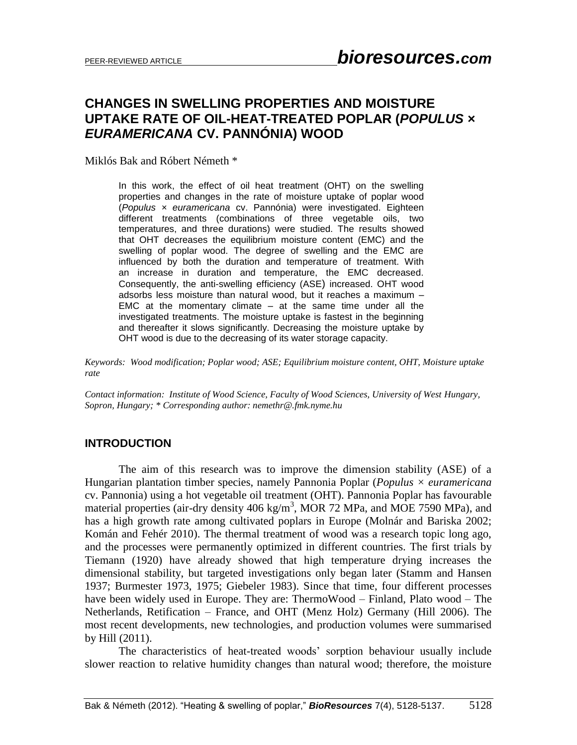# **CHANGES IN SWELLING PROPERTIES AND MOISTURE UPTAKE RATE OF OIL-HEAT-TREATED POPLAR (***POPULUS × EURAMERICANA* **CV. PANNÓNIA) WOOD**

Miklós Bak and Róbert Németh \*

In this work, the effect of oil heat treatment (OHT) on the swelling properties and changes in the rate of moisture uptake of poplar wood (*Populus × euramericana* cv. Pannónia) were investigated. Eighteen different treatments (combinations of three vegetable oils, two temperatures, and three durations) were studied. The results showed that OHT decreases the equilibrium moisture content (EMC) and the swelling of poplar wood. The degree of swelling and the EMC are influenced by both the duration and temperature of treatment. With an increase in duration and temperature, the EMC decreased. Consequently, the anti-swelling efficiency (ASE) increased. OHT wood adsorbs less moisture than natural wood, but it reaches a maximum – EMC at the momentary climate  $-$  at the same time under all the investigated treatments. The moisture uptake is fastest in the beginning and thereafter it slows significantly. Decreasing the moisture uptake by OHT wood is due to the decreasing of its water storage capacity.

*Keywords: Wood modification; Poplar wood; ASE; Equilibrium moisture content, OHT, Moisture uptake rate*

*Contact information: Institute of Wood Science, Faculty of Wood Sciences, University of West Hungary, Sopron, Hungary; \* Corresponding author: nemethr@.fmk.nyme.hu*

#### **INTRODUCTION**

The aim of this research was to improve the dimension stability (ASE) of a Hungarian plantation timber species, namely Pannonia Poplar (*Populus × euramericana*  cv. Pannonia) using a hot vegetable oil treatment (OHT). Pannonia Poplar has favourable material properties (air-dry density 406 kg/m<sup>3</sup>, MOR 72 MPa, and MOE 7590 MPa), and has a high growth rate among cultivated poplars in Europe (Molnár and Bariska 2002; Komán and Fehér 2010). The thermal treatment of wood was a research topic long ago, and the processes were permanently optimized in different countries. The first trials by Tiemann (1920) have already showed that high temperature drying increases the dimensional stability, but targeted investigations only began later (Stamm and Hansen 1937; Burmester 1973, 1975; Giebeler 1983). Since that time, four different processes have been widely used in Europe. They are: ThermoWood – Finland, Plato wood – The Netherlands, Retification – France, and OHT (Menz Holz) Germany (Hill 2006). The most recent developments, new technologies, and production volumes were summarised by Hill (2011).

The characteristics of heat-treated woods' sorption behaviour usually include slower reaction to relative humidity changes than natural wood; therefore, the moisture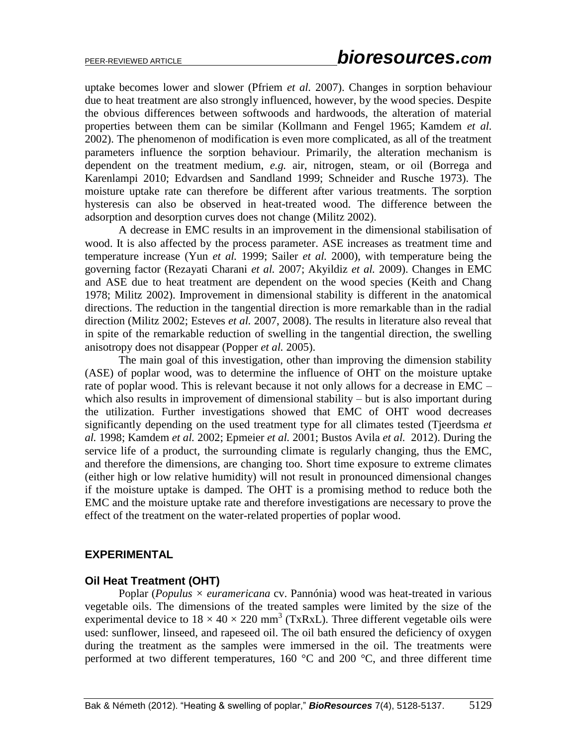uptake becomes lower and slower (Pfriem *et al.* 2007). Changes in sorption behaviour due to heat treatment are also strongly influenced, however, by the wood species. Despite the obvious differences between softwoods and hardwoods, the alteration of material properties between them can be similar (Kollmann and Fengel 1965; Kamdem *et al.* 2002). The phenomenon of modification is even more complicated, as all of the treatment parameters influence the sorption behaviour. Primarily, the alteration mechanism is dependent on the treatment medium, *e.g.* air, nitrogen, steam, or oil (Borrega and Karenlampi 2010; Edvardsen and Sandland 1999; Schneider and Rusche 1973). The moisture uptake rate can therefore be different after various treatments. The sorption hysteresis can also be observed in heat-treated wood. The difference between the adsorption and desorption curves does not change (Militz 2002).

A decrease in EMC results in an improvement in the dimensional stabilisation of wood. It is also affected by the process parameter. ASE increases as treatment time and temperature increase (Yun *et al.* 1999; Sailer *et al.* 2000), with temperature being the governing factor (Rezayati Charani *et al.* 2007; Akyildiz *et al.* 2009). Changes in EMC and ASE due to heat treatment are dependent on the wood species (Keith and Chang 1978; Militz 2002). Improvement in dimensional stability is different in the anatomical directions. The reduction in the tangential direction is more remarkable than in the radial direction (Militz 2002; Esteves *et al.* 2007, 2008). The results in literature also reveal that in spite of the remarkable reduction of swelling in the tangential direction, the swelling anisotropy does not disappear (Popper *et al.* 2005).

The main goal of this investigation, other than improving the dimension stability (ASE) of poplar wood, was to determine the influence of OHT on the moisture uptake rate of poplar wood. This is relevant because it not only allows for a decrease in EMC – which also results in improvement of dimensional stability – but is also important during the utilization. Further investigations showed that EMC of OHT wood decreases significantly depending on the used treatment type for all climates tested (Tjeerdsma *et al.* 1998; Kamdem *et al.* 2002; Epmeier *et al.* 2001; Bustos Avila *et al.* 2012). During the service life of a product, the surrounding climate is regularly changing, thus the EMC, and therefore the dimensions, are changing too. Short time exposure to extreme climates (either high or low relative humidity) will not result in pronounced dimensional changes if the moisture uptake is damped. The OHT is a promising method to reduce both the EMC and the moisture uptake rate and therefore investigations are necessary to prove the effect of the treatment on the water-related properties of poplar wood.

### **EXPERIMENTAL**

### **Oil Heat Treatment (OHT)**

Poplar (*Populus × euramericana* cv. Pannónia) wood was heat-treated in various vegetable oils. The dimensions of the treated samples were limited by the size of the experimental device to  $18 \times 40 \times 220$  mm<sup>3</sup> (TxRxL). Three different vegetable oils were used: sunflower, linseed, and rapeseed oil. The oil bath ensured the deficiency of oxygen during the treatment as the samples were immersed in the oil. The treatments were performed at two different temperatures, 160 °C and 200 °C, and three different time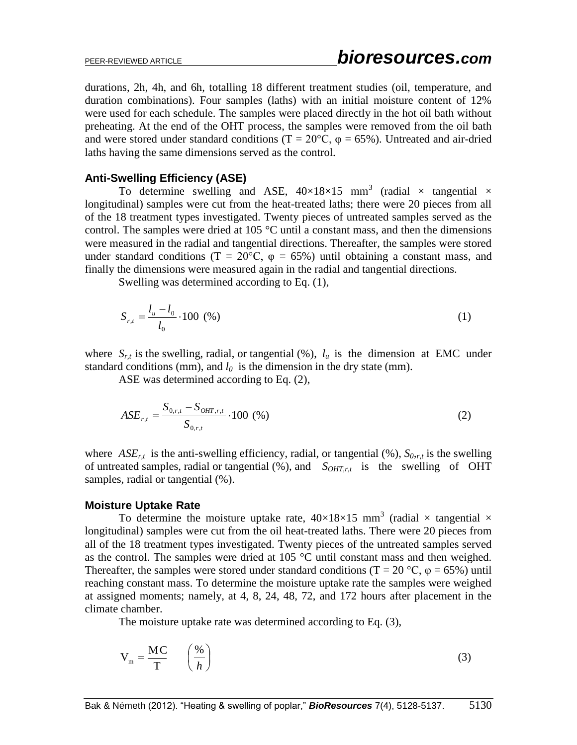durations, 2h, 4h, and 6h, totalling 18 different treatment studies (oil, temperature, and duration combinations). Four samples (laths) with an initial moisture content of 12% were used for each schedule. The samples were placed directly in the hot oil bath without preheating. At the end of the OHT process, the samples were removed from the oil bath and were stored under standard conditions (T =  $20^{\circ}$ C,  $\varphi$  = 65%). Untreated and air-dried laths having the same dimensions served as the control.

#### **Anti-Swelling Efficiency (ASE)**

To determine swelling and ASE,  $40 \times 18 \times 15$  mm<sup>3</sup> (radial  $\times$  tangential  $\times$ longitudinal) samples were cut from the heat-treated laths; there were 20 pieces from all of the 18 treatment types investigated. Twenty pieces of untreated samples served as the control. The samples were dried at  $105^{\circ}$ C until a constant mass, and then the dimensions were measured in the radial and tangential directions. Thereafter, the samples were stored under standard conditions (T = 20 $^{\circ}$ C,  $\varphi$  = 65%) until obtaining a constant mass, and finally the dimensions were measured again in the radial and tangential directions.

Swelling was determined according to Eq. (1),

$$
S_{r,t} = \frac{l_u - l_0}{l_0} \cdot 100 \, (%) \tag{1}
$$

where  $S_{r,t}$  is the swelling, radial, or tangential (%),  $l_u$  is the dimension at EMC under standard conditions (mm), and  $l_0$  is the dimension in the dry state (mm).

ASE was determined according to Eq.  $(2)$ ,

$$
ASE_{r,t} = \frac{S_{0,r,t} - S_{OHT,r,t}}{S_{0,r,t}} \cdot 100\ (%)\tag{2}
$$

where  $ASE_{r,t}$  is the anti-swelling efficiency, radial, or tangential  $(\%)$ ,  $S_{0,r,t}$  is the swelling of untreated samples, radial or tangential (%), and *SOHT,r,t* is the swelling of OHT samples, radial or tangential (%).

#### **Moisture Uptake Rate**

To determine the moisture uptake rate,  $40\times18\times15$  mm<sup>3</sup> (radial  $\times$  tangential  $\times$ longitudinal) samples were cut from the oil heat-treated laths. There were 20 pieces from all of the 18 treatment types investigated. Twenty pieces of the untreated samples served as the control. The samples were dried at 105 °C until constant mass and then weighed. Thereafter, the samples were stored under standard conditions (T = 20 °C,  $\varphi$  = 65%) until reaching constant mass. To determine the moisture uptake rate the samples were weighed at assigned moments; namely, at 4, 8, 24, 48, 72, and 172 hours after placement in the climate chamber.

The moisture uptake rate was determined according to Eq. (3),

$$
V_m = \frac{MC}{T} \qquad \left(\frac{\%}{h}\right) \tag{3}
$$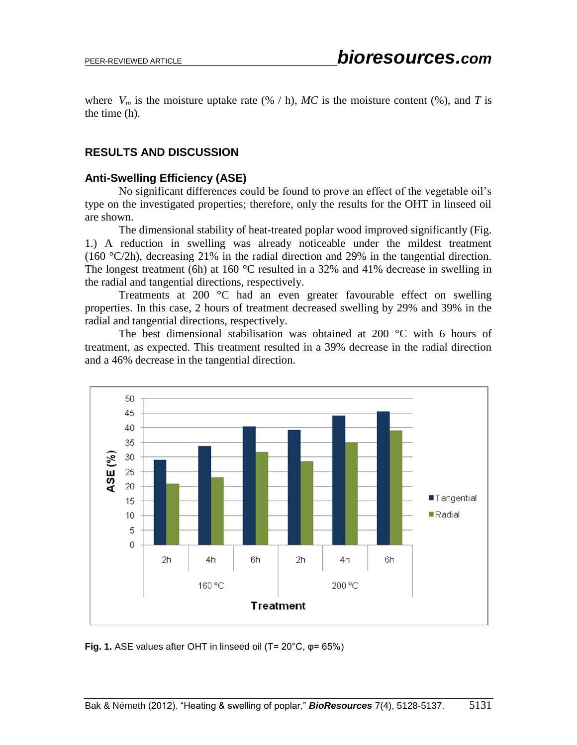where  $V_m$  is the moisture uptake rate (% / h), MC is the moisture content (%), and T is the time (h).

### **RESULTS AND DISCUSSION**

#### **Anti-Swelling Efficiency (ASE)**

No significant differences could be found to prove an effect of the vegetable oil's type on the investigated properties; therefore, only the results for the OHT in linseed oil are shown.

The dimensional stability of heat-treated poplar wood improved significantly (Fig. 1.) A reduction in swelling was already noticeable under the mildest treatment (160 °C/2h), decreasing 21% in the radial direction and 29% in the tangential direction. The longest treatment (6h) at 160 °C resulted in a 32% and 41% decrease in swelling in the radial and tangential directions, respectively.

Treatments at 200 °C had an even greater favourable effect on swelling properties. In this case, 2 hours of treatment decreased swelling by 29% and 39% in the radial and tangential directions, respectively.

The best dimensional stabilisation was obtained at 200 °C with 6 hours of treatment, as expected. This treatment resulted in a 39% decrease in the radial direction and a 46% decrease in the tangential direction.



**Fig. 1.** ASE values after OHT in linseed oil (T= 20°C, φ= 65%)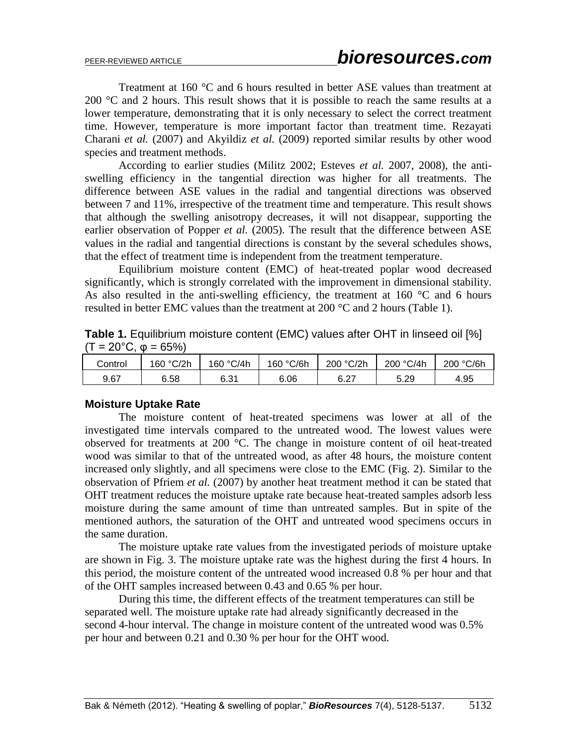Treatment at 160 °C and 6 hours resulted in better ASE values than treatment at 200  $\degree$ C and 2 hours. This result shows that it is possible to reach the same results at a lower temperature, demonstrating that it is only necessary to select the correct treatment time. However, temperature is more important factor than treatment time. Rezayati Charani *et al.* (2007) and Akyildiz *et al.* (2009) reported similar results by other wood species and treatment methods.

According to earlier studies (Militz 2002; Esteves *et al.* 2007, 2008), the antiswelling efficiency in the tangential direction was higher for all treatments. The difference between ASE values in the radial and tangential directions was observed between 7 and 11%, irrespective of the treatment time and temperature. This result shows that although the swelling anisotropy decreases, it will not disappear, supporting the earlier observation of Popper *et al.* (2005). The result that the difference between ASE values in the radial and tangential directions is constant by the several schedules shows, that the effect of treatment time is independent from the treatment temperature.

Equilibrium moisture content (EMC) of heat-treated poplar wood decreased significantly, which is strongly correlated with the improvement in dimensional stability. As also resulted in the anti-swelling efficiency, the treatment at  $160^{\circ}$ C and 6 hours resulted in better EMC values than the treatment at 200 °C and 2 hours (Table 1).

**Table 1.** Equilibrium moisture content (EMC) values after OHT in linseed oil [%]  $(T = 20^{\circ}C, \varphi = 65\%)$ 

| Control | 160 °C/2h | 160 °C/4h | 160 °C/6h | 200 °C/2h | 200 °C/4h | 200 °C/6h |
|---------|-----------|-----------|-----------|-----------|-----------|-----------|
| 9.67    | 6.58      | 6.31      | 6.06      | 6.27      | 5.29      | 4.95      |

### **Moisture Uptake Rate**

The moisture content of heat-treated specimens was lower at all of the investigated time intervals compared to the untreated wood. The lowest values were observed for treatments at 200 °C. The change in moisture content of oil heat-treated wood was similar to that of the untreated wood, as after 48 hours, the moisture content increased only slightly, and all specimens were close to the EMC (Fig. 2). Similar to the observation of Pfriem *et al.* (2007) by another heat treatment method it can be stated that OHT treatment reduces the moisture uptake rate because heat-treated samples adsorb less moisture during the same amount of time than untreated samples. But in spite of the mentioned authors, the saturation of the OHT and untreated wood specimens occurs in the same duration.

The moisture uptake rate values from the investigated periods of moisture uptake are shown in Fig. 3. The moisture uptake rate was the highest during the first 4 hours. In this period, the moisture content of the untreated wood increased 0.8 % per hour and that of the OHT samples increased between 0.43 and 0.65 % per hour.

During this time, the different effects of the treatment temperatures can still be separated well. The moisture uptake rate had already significantly decreased in the second 4-hour interval. The change in moisture content of the untreated wood was 0.5% per hour and between 0.21 and 0.30 % per hour for the OHT wood.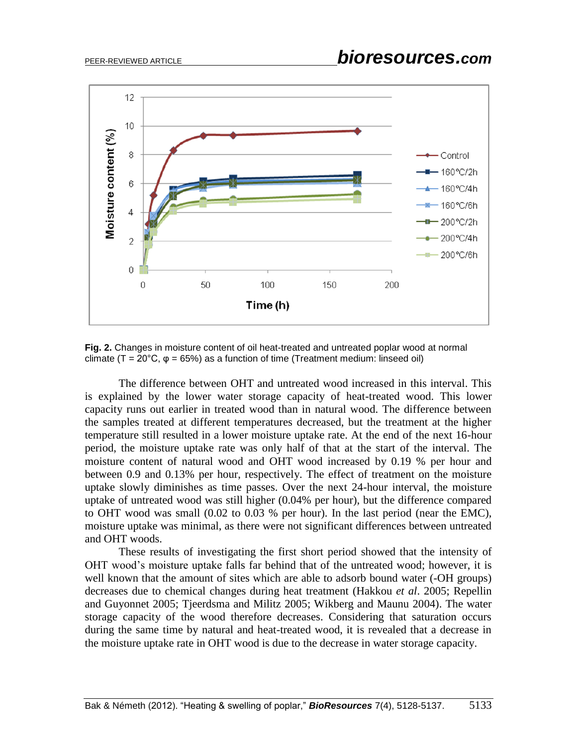

**Fig. 2.** Changes in moisture content of oil heat-treated and untreated poplar wood at normal climate (T =  $20^{\circ}$ C,  $\varphi$  = 65%) as a function of time (Treatment medium: linseed oil)

The difference between OHT and untreated wood increased in this interval. This is explained by the lower water storage capacity of heat-treated wood. This lower capacity runs out earlier in treated wood than in natural wood. The difference between the samples treated at different temperatures decreased, but the treatment at the higher temperature still resulted in a lower moisture uptake rate. At the end of the next 16-hour period, the moisture uptake rate was only half of that at the start of the interval. The moisture content of natural wood and OHT wood increased by 0.19 % per hour and between 0.9 and 0.13% per hour, respectively. The effect of treatment on the moisture uptake slowly diminishes as time passes. Over the next 24-hour interval, the moisture uptake of untreated wood was still higher (0.04% per hour), but the difference compared to OHT wood was small  $(0.02 \text{ to } 0.03 \text{ % per hour})$ . In the last period (near the EMC), moisture uptake was minimal, as there were not significant differences between untreated and OHT woods.

These results of investigating the first short period showed that the intensity of OHT wood's moisture uptake falls far behind that of the untreated wood; however, it is well known that the amount of sites which are able to adsorb bound water (-OH groups) decreases due to chemical changes during heat treatment (Hakkou *et al*. 2005; Repellin and Guyonnet 2005; Tjeerdsma and Militz 2005; Wikberg and Maunu 2004). The water storage capacity of the wood therefore decreases. Considering that saturation occurs during the same time by natural and heat-treated wood, it is revealed that a decrease in the moisture uptake rate in OHT wood is due to the decrease in water storage capacity.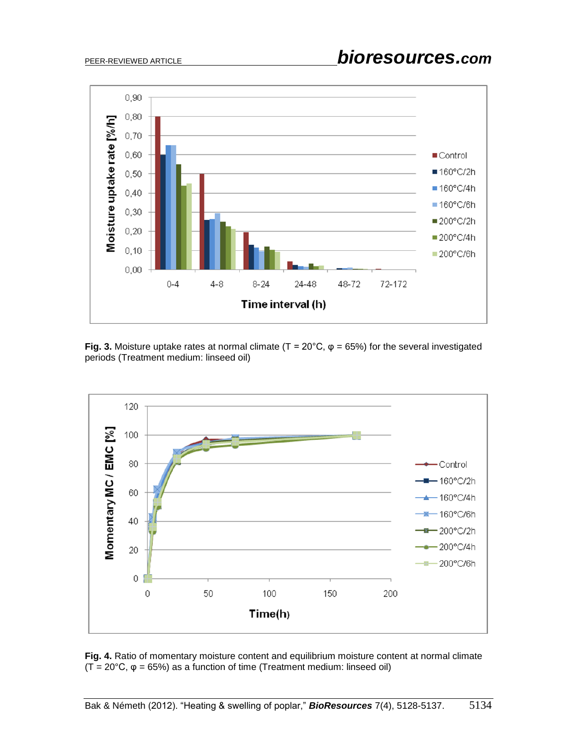

**Fig. 3.** Moisture uptake rates at normal climate ( $T = 20^{\circ}$ C,  $\varphi = 65\%$ ) for the several investigated periods (Treatment medium: linseed oil)



**Fig. 4.** Ratio of momentary moisture content and equilibrium moisture content at normal climate (T = 20°C, φ = 65%) as a function of time (Treatment medium: linseed oil)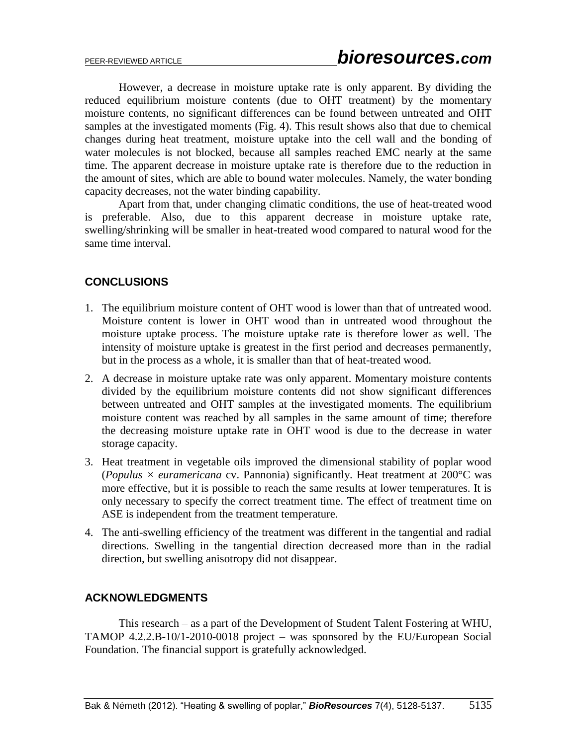However, a decrease in moisture uptake rate is only apparent. By dividing the reduced equilibrium moisture contents (due to OHT treatment) by the momentary moisture contents, no significant differences can be found between untreated and OHT samples at the investigated moments (Fig. 4). This result shows also that due to chemical changes during heat treatment, moisture uptake into the cell wall and the bonding of water molecules is not blocked, because all samples reached EMC nearly at the same time. The apparent decrease in moisture uptake rate is therefore due to the reduction in the amount of sites, which are able to bound water molecules. Namely, the water bonding capacity decreases, not the water binding capability.

Apart from that, under changing climatic conditions, the use of heat-treated wood is preferable. Also, due to this apparent decrease in moisture uptake rate, swelling/shrinking will be smaller in heat-treated wood compared to natural wood for the same time interval.

# **CONCLUSIONS**

- 1. The equilibrium moisture content of OHT wood is lower than that of untreated wood. Moisture content is lower in OHT wood than in untreated wood throughout the moisture uptake process. The moisture uptake rate is therefore lower as well. The intensity of moisture uptake is greatest in the first period and decreases permanently, but in the process as a whole, it is smaller than that of heat-treated wood.
- 2. A decrease in moisture uptake rate was only apparent. Momentary moisture contents divided by the equilibrium moisture contents did not show significant differences between untreated and OHT samples at the investigated moments. The equilibrium moisture content was reached by all samples in the same amount of time; therefore the decreasing moisture uptake rate in OHT wood is due to the decrease in water storage capacity.
- 3. Heat treatment in vegetable oils improved the dimensional stability of poplar wood (*Populus × euramericana* cv. Pannonia) significantly. Heat treatment at 200°C was more effective, but it is possible to reach the same results at lower temperatures. It is only necessary to specify the correct treatment time. The effect of treatment time on ASE is independent from the treatment temperature.
- 4. The anti-swelling efficiency of the treatment was different in the tangential and radial directions. Swelling in the tangential direction decreased more than in the radial direction, but swelling anisotropy did not disappear.

### **ACKNOWLEDGMENTS**

This research – as a part of the Development of Student Talent Fostering at WHU, TAMOP 4.2.2.B-10/1-2010-0018 project – was sponsored by the EU/European Social Foundation. The financial support is gratefully acknowledged.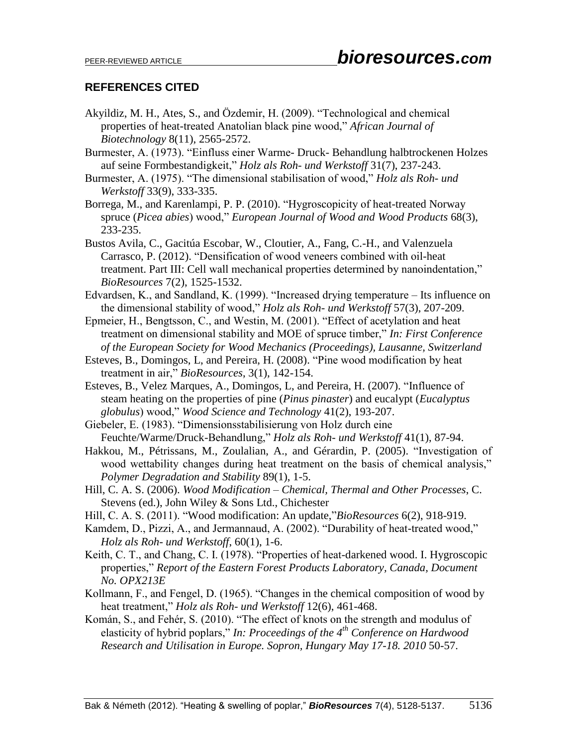# **REFERENCES CITED**

- Akyildiz, M. H., Ates, S., and Özdemir, H. (2009). "Technological and chemical properties of heat-treated Anatolian black pine wood," *African Journal of Biotechnology* 8(11), 2565-2572.
- Burmester, A. (1973). "Einfluss einer Warme- Druck- Behandlung halbtrockenen Holzes auf seine Formbestandigkeit," *Holz als Roh- und Werkstoff* 31(7), 237-243.
- Burmester, A. (1975). "The dimensional stabilisation of wood," *Holz als Roh- und Werkstoff* 33(9), 333-335.
- Borrega, M., and Karenlampi, P. P. (2010). "Hygroscopicity of heat-treated Norway spruce (*Picea abies*) wood," *European Journal of Wood and Wood Products* 68(3), 233-235.
- Bustos Avila, C., Gacitúa Escobar, W., Cloutier, A., Fang, C.-H., and Valenzuela Carrasco, P. (2012). "Densification of wood veneers combined with oil-heat treatment. Part III: Cell wall mechanical properties determined by nanoindentation," *BioResources* 7(2), 1525-1532.
- Edvardsen, K., and Sandland, K. (1999). "Increased drying temperature Its influence on the dimensional stability of wood," *Holz als Roh- und Werkstoff* 57(3), 207-209.
- Epmeier, H., Bengtsson, C., and Westin, M. (2001). "Effect of acetylation and heat treatment on dimensional stability and MOE of spruce timber," *In: First Conference of the European Society for Wood Mechanics (Proceedings), Lausanne, Switzerland*
- Esteves, B., Domingos, L, and Pereira, H. (2008). "Pine wood modification by heat treatment in air," *BioResources*, 3(1), 142-154.
- Esteves, B., Velez Marques, A., Domingos, L, and Pereira, H. (2007). "Influence of steam heating on the properties of pine (*Pinus pinaster*) and eucalypt (*Eucalyptus globulus*) wood," *Wood Science and Technology* 41(2), 193-207.
- Giebeler, E. (1983). "Dimensionsstabilisierung von Holz durch eine Feuchte/Warme/Druck-Behandlung," *Holz als Roh- und Werkstoff* 41(1), 87-94.
- Hakkou, M., Pétrissans, M., Zoulalian, A., and Gérardin, P. (2005). "Investigation of wood wettability changes during heat treatment on the basis of chemical analysis," *Polymer Degradation and Stability* 89(1), 1-5.
- Hill, C. A. S. (2006). *Wood Modification – Chemical, Thermal and Other Processes*, C. Stevens (ed.), John Wiley & Sons Ltd., Chichester
- Hill, C. A. S. (2011). "Wood modification: An update,"*BioResources* 6(2), 918-919.
- Kamdem, D., Pizzi, A., and Jermannaud, A. (2002). "Durability of heat-treated wood," *Holz als Roh- und Werkstoff*, 60(1), 1-6.
- Keith, C. T., and Chang, C. I. (1978). "Properties of heat-darkened wood. I. Hygroscopic properties," *Report of the Eastern Forest Products Laboratory, Canada, Document No. OPX213E*
- Kollmann, F., and Fengel, D. (1965). "Changes in the chemical composition of wood by heat treatment," *Holz als Roh- und Werkstoff* 12(6), 461-468.
- Komán, S., and Fehér, S. (2010). "The effect of knots on the strength and modulus of elasticity of hybrid poplars," *In: Proceedings of the 4th Conference on Hardwood Research and Utilisation in Europe. Sopron, Hungary May 17-18. 2010* 50-57.